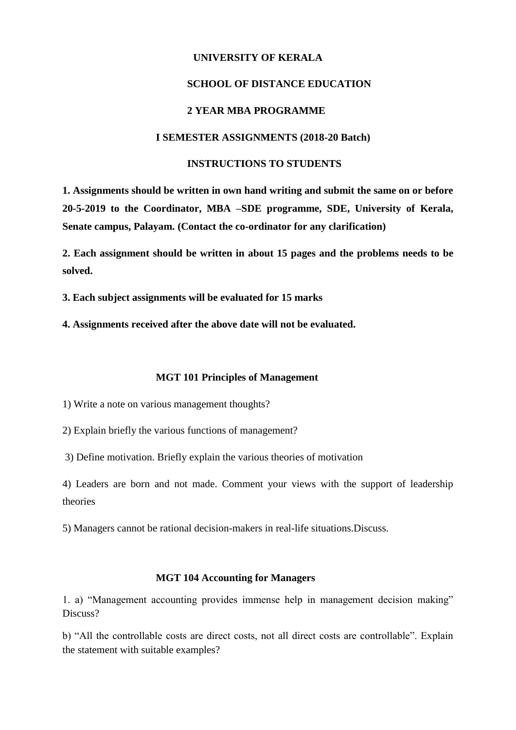### **UNIVERSITY OF KERALA**

### **SCHOOL OF DISTANCE EDUCATION**

## **2 YEAR MBA PROGRAMME**

### **I SEMESTER ASSIGNMENTS (2018-20 Batch)**

#### **INSTRUCTIONS TO STUDENTS**

**1. Assignments should be written in own hand writing and submit the same on or before 20-5-2019 to the Coordinator, MBA –SDE programme, SDE, University of Kerala, Senate campus, Palayam. (Contact the co-ordinator for any clarification)**

**2. Each assignment should be written in about 15 pages and the problems needs to be solved.**

**3. Each subject assignments will be evaluated for 15 marks**

**4. Assignments received after the above date will not be evaluated.**

#### **MGT 101 Principles of Management**

1) Write a note on various management thoughts?

2) Explain briefly the various functions of management?

3) Define motivation. Briefly explain the various theories of motivation

4) Leaders are born and not made. Comment your views with the support of leadership theories

5) Managers cannot be rational decision-makers in real-life situations.Discuss.

#### **MGT 104 Accounting for Managers**

1. a) "Management accounting provides immense help in management decision making" Discuss?

b) "All the controllable costs are direct costs, not all direct costs are controllable". Explain the statement with suitable examples?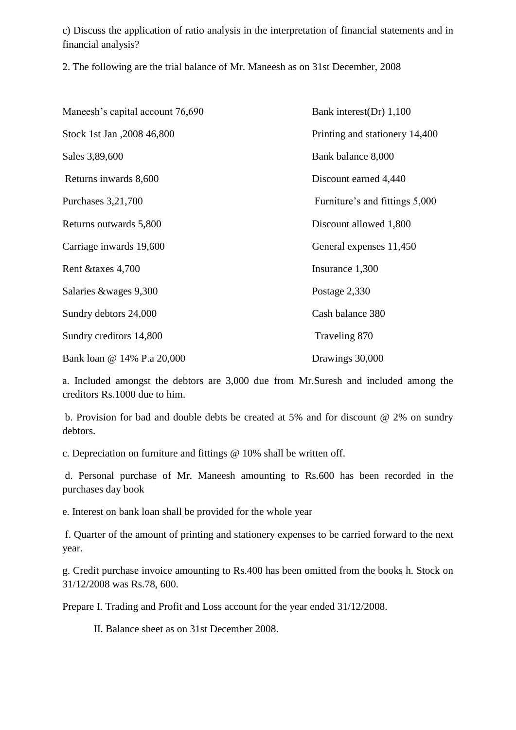c) Discuss the application of ratio analysis in the interpretation of financial statements and in financial analysis?

2. The following are the trial balance of Mr. Maneesh as on 31st December, 2008

| Maneesh's capital account 76,690 | Bank interest(Dr) 1,100        |  |  |  |
|----------------------------------|--------------------------------|--|--|--|
| Stock 1st Jan , 2008 46,800      | Printing and stationery 14,400 |  |  |  |
| Sales 3,89,600                   | Bank balance 8,000             |  |  |  |
| Returns inwards 8,600            | Discount earned 4,440          |  |  |  |
| Purchases 3,21,700               | Furniture's and fittings 5,000 |  |  |  |
| Returns outwards 5,800           | Discount allowed 1,800         |  |  |  |
| Carriage inwards 19,600          | General expenses 11,450        |  |  |  |
| Rent & taxes 4,700               | Insurance 1,300                |  |  |  |
| Salaries &wages 9,300            | Postage 2,330                  |  |  |  |
| Sundry debtors 24,000            | Cash balance 380               |  |  |  |
| Sundry creditors 14,800          | Traveling 870                  |  |  |  |
| Bank loan @ 14% P.a 20,000       | Drawings 30,000                |  |  |  |

a. Included amongst the debtors are 3,000 due from Mr.Suresh and included among the creditors Rs.1000 due to him.

b. Provision for bad and double debts be created at 5% and for discount @ 2% on sundry debtors.

c. Depreciation on furniture and fittings @ 10% shall be written off.

d. Personal purchase of Mr. Maneesh amounting to Rs.600 has been recorded in the purchases day book

e. Interest on bank loan shall be provided for the whole year

f. Quarter of the amount of printing and stationery expenses to be carried forward to the next year.

g. Credit purchase invoice amounting to Rs.400 has been omitted from the books h. Stock on 31/12/2008 was Rs.78, 600.

Prepare I. Trading and Profit and Loss account for the year ended 31/12/2008.

II. Balance sheet as on 31st December 2008.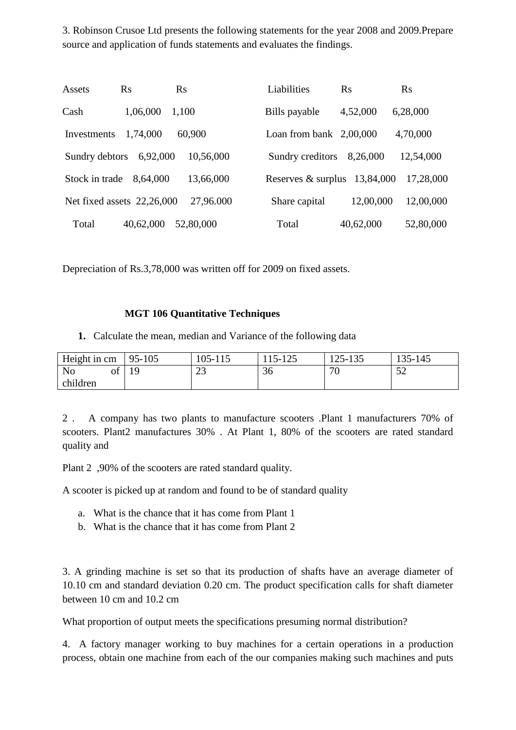3. Robinson Crusoe Ltd presents the following statements for the year 2008 and 2009.Prepare source and application of funds statements and evaluates the findings.

| Assets         | $\rm Rs$                   | $\rm Rs$  | Liabilities               | $\mathbf{R}$ s | Rs        |
|----------------|----------------------------|-----------|---------------------------|----------------|-----------|
| Cash           | 1,06,000                   | 1,100     | Bills payable             | 4,52,000       | 6,28,000  |
| Investments    | 1,74,000                   | 60,900    | Loan from bank $2,00,000$ |                | 4,70,000  |
| Sundry debtors | 6,92,000                   | 10,56,000 | Sundry creditors          | 8,26,000       | 12,54,000 |
| Stock in trade | 8,64,000                   | 13,66,000 | Reserves & surplus        | 13,84,000      | 17,28,000 |
|                | Net fixed assets 22,26,000 | 27,96.000 | Share capital             | 12,00,000      | 12,00,000 |
| Total          | 40,62,000                  | 52,80,000 | Total                     | 40,62,000      | 52,80,000 |

Depreciation of Rs.3,78,000 was written off for 2009 on fixed assets.

## **MGT 106 Quantitative Techniques**

**1.** Calculate the mean, median and Variance of the following data

| Height in cm                         | 95-105 | $105 - 11$          | $1 \cap \mathcal{L}$<br>$15-$ | 125-135    | 135-145          |
|--------------------------------------|--------|---------------------|-------------------------------|------------|------------------|
| $\mathbf{r}$<br>N <sub>o</sub><br>Οİ | 1 Q    | $\mathcal{D}$<br>د∠ | 36                            | $\pi$<br>ν | $\epsilon$<br>◡▱ |
| children                             |        |                     |                               |            |                  |

2 . A company has two plants to manufacture scooters .Plant 1 manufacturers 70% of scooters. Plant2 manufactures 30% . At Plant 1, 80% of the scooters are rated standard quality and

Plant 2 ,90% of the scooters are rated standard quality.

A scooter is picked up at random and found to be of standard quality

- a. What is the chance that it has come from Plant 1
- b. What is the chance that it has come from Plant 2

3. A grinding machine is set so that its production of shafts have an average diameter of 10.10 cm and standard deviation 0.20 cm. The product specification calls for shaft diameter between 10 cm and 10.2 cm

What proportion of output meets the specifications presuming normal distribution?

4. A factory manager working to buy machines for a certain operations in a production process, obtain one machine from each of the our companies making such machines and puts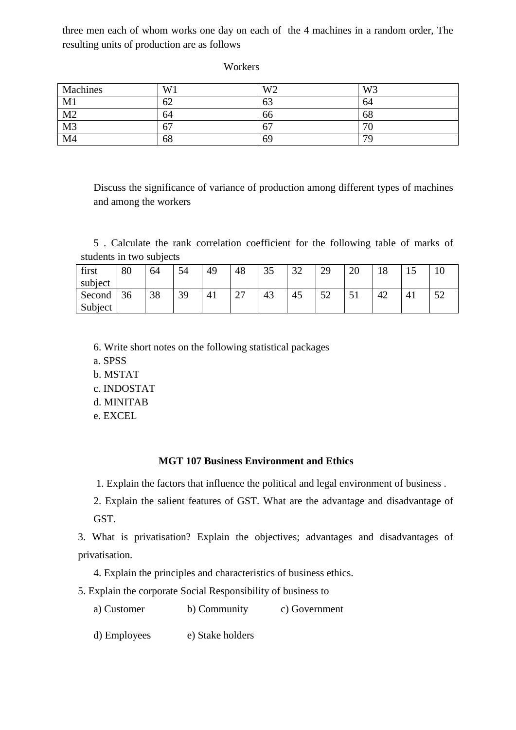three men each of whom works one day on each of the 4 machines in a random order, The resulting units of production are as follows

**Workers** 

| Machines       | W <sub>1</sub> | W <sub>2</sub> | W <sub>3</sub> |
|----------------|----------------|----------------|----------------|
| M1             | 62             | - ^<br>ნპ      | 64             |
| M <sub>2</sub> | 64             | 66             | 68             |
| M <sub>3</sub> | 67             | 67             | 70             |
| M <sub>4</sub> | 68             | 69             | 79             |

Discuss the significance of variance of production among different types of machines and among the workers

5 . Calculate the rank correlation coefficient for the following table of marks of students in two subjects

| first   | 80 | 64 | 54 | 49 | 48            | $\sim$ $\sim$<br>JJ | $\Omega$<br>ىر | 20<br>∠⊃ | 20 | 1 ດ<br>10 | ⊥⊷ | ΙV         |
|---------|----|----|----|----|---------------|---------------------|----------------|----------|----|-----------|----|------------|
| subject |    |    |    |    |               |                     |                |          |    |           |    |            |
| Second  | 36 | 38 | 39 | 41 | $\sim$<br>، ت | 43                  | 45             | ເາ<br>◡▵ | ◡  | 42        |    | E C<br>ے ر |
| Subject |    |    |    |    |               |                     |                |          |    |           |    |            |

- 6. Write short notes on the following statistical packages
- a. SPSS
- b. MSTAT
- c. INDOSTAT
- d. MINITAB
- e. EXCEL

### **MGT 107 Business Environment and Ethics**

1. Explain the factors that influence the political and legal environment of business .

2. Explain the salient features of GST. What are the advantage and disadvantage of GST.

3. What is privatisation? Explain the objectives; advantages and disadvantages of privatisation.

4. Explain the principles and characteristics of business ethics.

5. Explain the corporate Social Responsibility of business to

a) Customer b) Community c) Government

d) Employees e) Stake holders